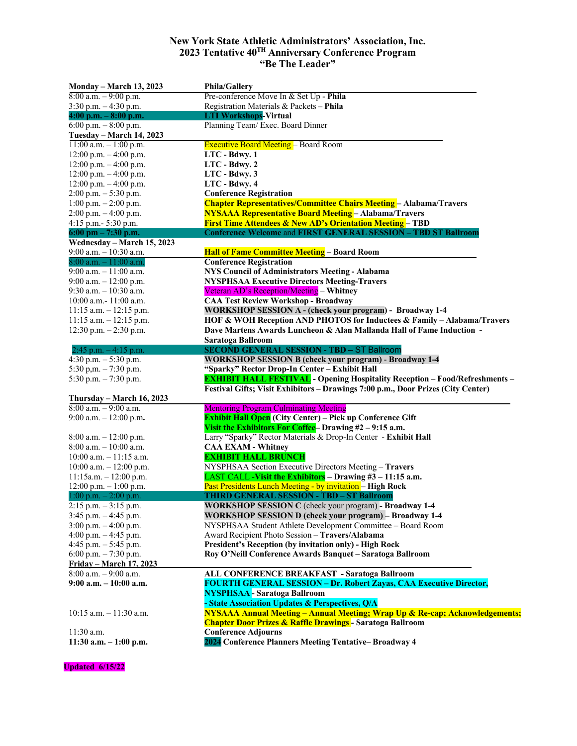## **New York State Athletic Administrators' Association, Inc. 2023 Tentative 40TH Anniversary Conference Program "Be The Leader"**

| <b>Monday – March 13, 2023</b>        | <b>Phila/Gallery</b>                                                                   |
|---------------------------------------|----------------------------------------------------------------------------------------|
| $8:00$ a.m. $-9:00$ p.m.              | Pre-conference Move In & Set Up - Phila                                                |
| $3:30$ p.m. $-4:30$ p.m.              | Registration Materials & Packets - Phila                                               |
| $4:00$ p.m. $-8:00$ p.m.              | <b>LTI Workshops-Virtual</b>                                                           |
| 6:00 p.m. $-8:00$ p.m.                | Planning Team/ Exec. Board Dinner                                                      |
| Tuesday - March 14, 2023              |                                                                                        |
| $11:00$ a.m. $-1:00$ p.m.             | <b>Executive Board Meeting - Board Room</b>                                            |
| 12:00 p.m. $-4:00$ p.m.               | LTC - Bdwy. 1                                                                          |
| 12:00 p.m. $-4:00$ p.m.               | LTC - Bdwy. 2                                                                          |
| 12:00 p.m. $-4:00$ p.m.               | LTC - Bdwy. 3                                                                          |
| 12:00 p.m. $-4:00$ p.m.               | LTC - Bdwy. 4                                                                          |
| $2:00$ p.m. $-5:30$ p.m.              | <b>Conference Registration</b>                                                         |
| 1:00 p.m. $-2:00$ p.m.                | <b>Chapter Representatives/Committee Chairs Meeting</b> - Alabama/Travers              |
| 2:00 p.m. - 4:00 p.m.                 | <b>NYSAAA Representative Board Meeting</b> - Alabama/Travers                           |
| 4:15 p.m.- 5:30 p.m.                  | <b>First Time Attendees &amp; New AD's Orientation Meeting</b> – TBD                   |
| $6:00 \text{ pm} - 7:30 \text{ p.m.}$ | <b>Conference Welcome and FIRST GENERAL SESSION - TBD ST Ballroom</b>                  |
| Wednesday - March 15, 2023            |                                                                                        |
| 9:00 a.m. $-10:30$ a.m.               | <b>Hall of Fame Committee Meeting - Board Room</b>                                     |
| $8:00$ a.m. $-11:00$ a.m.             | <b>Conference Registration</b>                                                         |
| $9:00$ a.m. $-11:00$ a.m.             | <b>NYS Council of Administrators Meeting - Alabama</b>                                 |
| 9:00 a.m. $-12:00$ p.m.               | <b>NYSPHSAA Executive Directors Meeting-Travers</b>                                    |
| $9:30$ a.m. $-10:30$ a.m.             | Veteran AD's Reception/Meeting - Whitney                                               |
| 10:00 a.m.- 11:00 a.m.                | <b>CAA Test Review Workshop - Broadway</b>                                             |
| $11:15$ a.m. $-12:15$ p.m.            | WORKSHOP SESSION A - (check your program) - Broadway 1-4                               |
| 11:15 a.m. $-$ 12:15 p.m.             | HOF & WOH Reception AND PHOTOS for Inductees & Family - Alabama/Travers                |
| 12:30 p.m. $-2:30$ p.m.               | Dave Martens Awards Luncheon & Alan Mallanda Hall of Fame Induction -                  |
|                                       | Saratoga Ballroom                                                                      |
| 2:45 p.m. $-4:15$ p.m.                | <b>SECOND GENERAL SESSION - TBD - ST Ballroom</b>                                      |
| 4:30 p.m. $-$ 5:30 p.m.               | <b>WORKSHOP SESSION B (check your program) - Broadway 1-4</b>                          |
| 5:30 p,m. $-7:30$ p.m.                | "Sparky" Rector Drop-In Center - Exhibit Hall                                          |
| 5:30 p.m. $-7:30$ p.m.                | <b>EXHIBIT HALL FESTIVAL</b> - Opening Hospitality Reception - Food/Refreshments -     |
|                                       | Festival Gifts; Visit Exhibitors - Drawings 7:00 p.m., Door Prizes (City Center)       |
| Thursday – March 16, 2023             |                                                                                        |
| $8:00$ a.m. $-9:00$ a.m.              | <b>Mentoring Program Culminating Meeting</b>                                           |
| 9:00 a.m. $-12:00$ p.m.               | <b>Exhibit Hall Open</b> (City Center) - Pick up Conference Gift                       |
|                                       | Visit the Exhibitors For Coffee-Drawing $#2 - 9:15$ a.m.                               |
| $8:00$ a.m. $-12:00$ p.m.             | Larry "Sparky" Rector Materials & Drop-In Center - Exhibit Hall                        |
| $8:00$ a.m. $-10:00$ a.m.             | <b>CAA EXAM - Whitney</b>                                                              |
| $10:00$ a.m. $-11:15$ a.m.            | <b>EXHIBIT HALL BRUNCH</b>                                                             |
|                                       | NYSPHSAA Section Executive Directors Meeting - Travers                                 |
| $10:00$ a.m. $-12:00$ p.m.            | LAST CALL -Visit the Exhibitors - Drawing #3 - 11:15 a.m.                              |
| $11:15$ a.m. $-12:00$ p.m.            | Past Presidents Lunch Meeting - by invitation - High Rock                              |
| $12:00$ p.m. $-1:00$ p.m.             |                                                                                        |
| $1:00$ p.m. $-2:00$ p.m.              | <b>THIRD GENERAL SESSION - TBD - ST Ballroom</b>                                       |
| $2:15$ p.m. $-3:15$ p.m.              | <b>WORKSHOP SESSION C</b> (check your program) - <b>Broadway 1-4</b>                   |
| $3:45$ p.m. $-4:45$ p.m.              | <b>WORKSHOP SESSION D (check your program) - Broadway 1-4</b>                          |
| 3:00 p.m. $-4:00$ p.m.                | NYSPHSAA Student Athlete Development Committee - Board Room                            |
| 4:00 p.m. $-4:45$ p.m.                | Award Recipient Photo Session - Travers/Alabama                                        |
| 4:45 p.m. $-$ 5:45 p.m.               | President's Reception (by invitation only) - High Rock                                 |
| 6:00 p.m. $-7:30$ p.m.                | Roy O'Neill Conference Awards Banquet - Saratoga Ballroom                              |
| <b>Friday – March 17, 2023</b>        |                                                                                        |
| $8:00$ a.m. $-9:00$ a.m.              | ALL CONFERENCE BREAKFAST - Saratoga Ballroom                                           |
| $9:00$ a.m. $-10:00$ a.m.             | <b>FOURTH GENERAL SESSION - Dr. Robert Zayas, CAA Executive Director,</b>              |
|                                       | <b>NYSPHSAA</b> - Saratoga Ballroom                                                    |
|                                       | - State Association Updates & Perspectives, Q/A                                        |
| $10:15$ a.m. $-11:30$ a.m.            | <b>NYSAAA Annual Meeting - Annual Meeting; Wrap Up &amp; Re-cap; Acknowledgements;</b> |
|                                       | <b>Chapter Door Prizes &amp; Raffle Drawings</b> - Saratoga Ballroom                   |
| 11:30 a.m.                            | <b>Conference Adjourns</b>                                                             |
| $11:30$ a.m. $-1:00$ p.m.             | 2024 Conference Planners Meeting Tentative-Broadway 4                                  |
|                                       |                                                                                        |

**Updated 6/15/22**